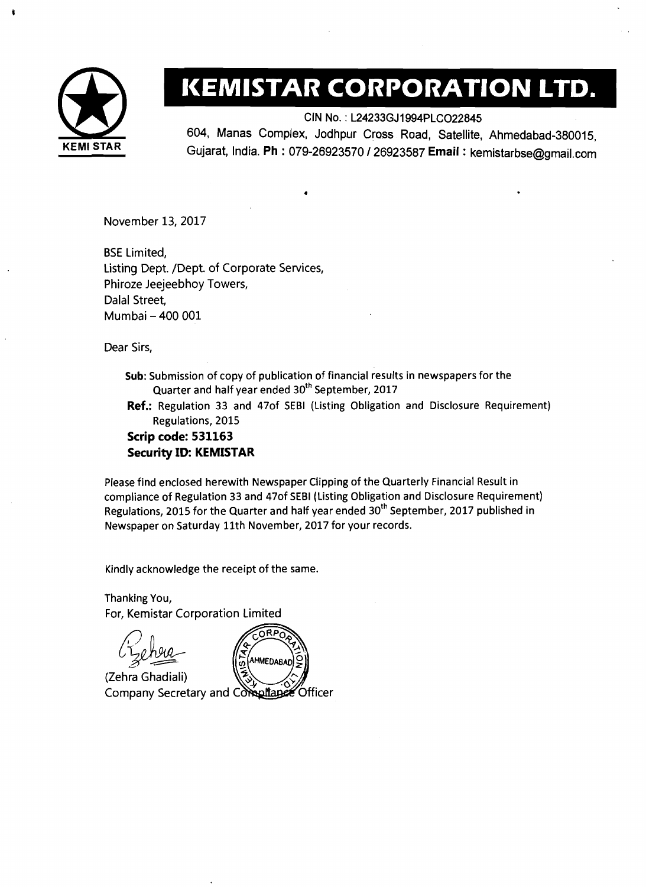

## **EXEMISTAR CORPORATION LTD.**<br>
CIN No.: L24233GJ1994PLCO22845<br>
604, Manas Complex, Jodhpur Cross Road, Satellite, Ahmedabad-380015,

CIN No. : L24233GJ1994PLC022845

604, Manas Complex, Jodhpur Cross Road, Satellite, Ahmedabad-380015, **KEMl STAR** Gujarat, India. **Ph** : 079-26923570 1 26923587 **Email** : kemistarbse@gmail.com

November 13,2017

BSE Limited, Listing Dept. /Dept. of Corporate Services, Phiroze Jeejeebhoy Towers, Dalal Street, Mumbai - 400 001

Dear Sirs,

Sub: Submission of copy of publication of financial results in newspapers for the Quarter and half year ended 30<sup>th</sup> September, 2017

**Ref.:** Regulation 33 and 470f SEBl (Listing Obligation and Disclosure Requirement) Regulations, 2015

## **Scrip code: 531163 Security ID: KEMISTAR**

Please find enclosed herewith Newspaper Clipping of the Quarterly Financial Result in compliance of Regulation 33 and 470f SEBl (Listing Obligation and Disclosure Requirement) Regulations, 2015 for the Quarter and half year ended  $30<sup>th</sup>$  September, 2017 published in Newspaper on Saturday 11th November, 2017 for your records.

Kindly acknowledge the receipt of the same.

Thanking You, For, Kemistar Corporation Limited



(Zehra Ghadiali) Company Secretary and Compliance Officer